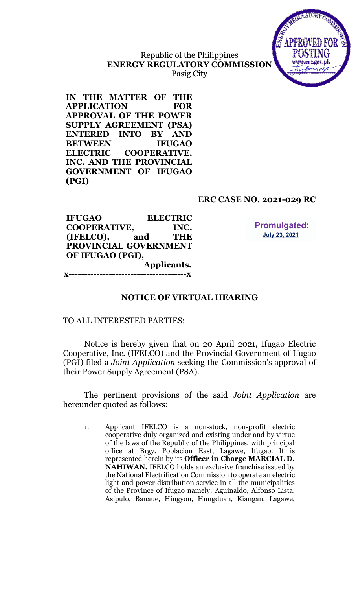

# Republic of the Philippines ENERGY REGULATORY COMMISSION Pasig City

IN THE MATTER OF THE APPLICATION FOR APPROVAL OF THE POWER SUPPLY AGREEMENT (PSA) ENTERED INTO BY AND BETWEEN IFUGAO ELECTRIC COOPERATIVE, INC. AND THE PROVINCIAL GOVERNMENT OF IFUGAO (PGI)

## ERC CASE NO. 2021-029 RC

IFUGAO ELECTRIC COOPERATIVE, INC. (IFELCO), and THE PROVINCIAL GOVERNMENT OF IFUGAO (PGI), Applicants. ---------------**x** 

**Promulgated: July 23, 2021** 

# NOTICE OF VIRTUAL HEARING

TO ALL INTERESTED PARTIES:

Notice is hereby given that on 20 April 2021, Ifugao Electric Cooperative, Inc. (IFELCO) and the Provincial Government of Ifugao (PGI) filed a Joint Application seeking the Commission's approval of their Power Supply Agreement (PSA).

The pertinent provisions of the said Joint Application are hereunder quoted as follows:

1. Applicant IFELCO is a non-stock, non-profit electric cooperative duly organized and existing under and by virtue of the laws of the Republic of the Philippines, with principal office at Brgy. Poblacion East, Lagawe, Ifugao. It is represented herein by its Officer in Charge MARCIAL D. NAHIWAN. IFELCO holds an exclusive franchise issued by the National Electrification Commission to operate an electric light and power distribution service in all the municipalities of the Province of Ifugao namely: Aguinaldo, Alfonso Lista, Asipulo, Banaue, Hingyon, Hungduan, Kiangan, Lagawe,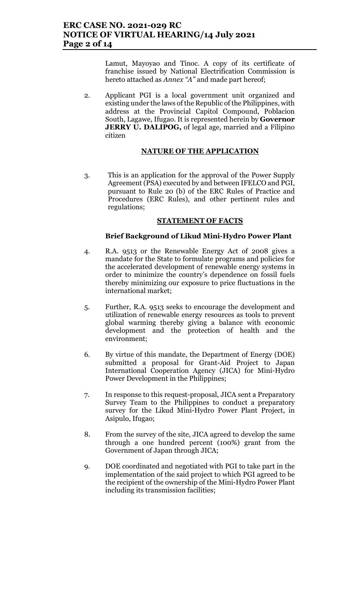Lamut, Mayoyao and Tinoc. A copy of its certificate of franchise issued by National Electrification Commission is hereto attached as Annex "A" and made part hereof;

2. Applicant PGI is a local government unit organized and existing under the laws of the Republic of the Philippines, with address at the Provincial Capitol Compound, Poblacion South, Lagawe, Ifugao. It is represented herein by Governor **JERRY U. DALIPOG,** of legal age, married and a Filipino citizen

### NATURE OF THE APPLICATION

3. This is an application for the approval of the Power Supply Agreement (PSA) executed by and between IFELCO and PGI, pursuant to Rule 20 (b) of the ERC Rules of Practice and Procedures (ERC Rules), and other pertinent rules and regulations;

### STATEMENT OF FACTS

### Brief Background of Likud Mini-Hydro Power Plant

- 4. R.A. 9513 or the Renewable Energy Act of 2008 gives a mandate for the State to formulate programs and policies for the accelerated development of renewable energy systems in order to minimize the country's dependence on fossil fuels thereby minimizing our exposure to price fluctuations in the international market;
- 5. Further, R.A. 9513 seeks to encourage the development and utilization of renewable energy resources as tools to prevent global warming thereby giving a balance with economic development and the protection of health and the environment;
- 6. By virtue of this mandate, the Department of Energy (DOE) submitted a proposal for Grant-Aid Project to Japan International Cooperation Agency (JICA) for Mini-Hydro Power Development in the Philippines;
- 7. In response to this request-proposal, JICA sent a Preparatory Survey Team to the Philippines to conduct a preparatory survey for the Likud Mini-Hydro Power Plant Project, in Asipulo, Ifugao;
- 8. From the survey of the site, JICA agreed to develop the same through a one hundred percent (100%) grant from the Government of Japan through JICA;
- 9. DOE coordinated and negotiated with PGI to take part in the implementation of the said project to which PGI agreed to be the recipient of the ownership of the Mini-Hydro Power Plant including its transmission facilities;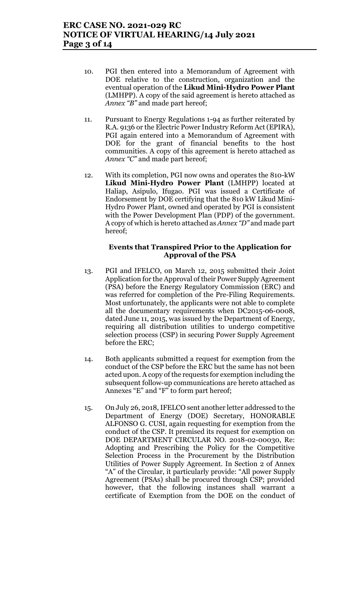- 10. PGI then entered into a Memorandum of Agreement with DOE relative to the construction, organization and the eventual operation of the Likud Mini-Hydro Power Plant (LMHPP). A copy of the said agreement is hereto attached as Annex "B" and made part hereof;
- 11. Pursuant to Energy Regulations 1-94 as further reiterated by R.A. 9136 or the Electric Power Industry Reform Act (EPIRA), PGI again entered into a Memorandum of Agreement with DOE for the grant of financial benefits to the host communities. A copy of this agreement is hereto attached as Annex "C" and made part hereof;
- 12. With its completion, PGI now owns and operates the 810-kW Likud Mini-Hydro Power Plant (LMHPP) located at Haliap, Asipulo, Ifugao. PGI was issued a Certificate of Endorsement by DOE certifying that the 810 kW Likud Mini-Hydro Power Plant, owned and operated by PGI is consistent with the Power Development Plan (PDP) of the government. A copy of which is hereto attached as Annex "D" and made part hereof;

#### Events that Transpired Prior to the Application for Approval of the PSA

- 13. PGI and IFELCO, on March 12, 2015 submitted their Joint Application for the Approval of their Power Supply Agreement (PSA) before the Energy Regulatory Commission (ERC) and was referred for completion of the Pre-Filing Requirements. Most unfortunately, the applicants were not able to complete all the documentary requirements when DC2015-06-0008, dated June 11, 2015, was issued by the Department of Energy, requiring all distribution utilities to undergo competitive selection process (CSP) in securing Power Supply Agreement before the ERC;
- 14. Both applicants submitted a request for exemption from the conduct of the CSP before the ERC but the same has not been acted upon. A copy of the requests for exemption including the subsequent follow-up communications are hereto attached as Annexes "E" and "F" to form part hereof;
- 15. On July 26, 2018, IFELCO sent another letter addressed to the Department of Energy (DOE) Secretary, HONORABLE ALFONSO G. CUSI, again requesting for exemption from the conduct of the CSP. It premised its request for exemption on DOE DEPARTMENT CIRCULAR NO. 2018-02-00030, Re: Adopting and Prescribing the Policy for the Competitive Selection Process in the Procurement by the Distribution Utilities of Power Supply Agreement. In Section 2 of Annex "A" of the Circular, it particularly provide: "All power Supply Agreement (PSAs) shall be procured through CSP; provided however, that the following instances shall warrant a certificate of Exemption from the DOE on the conduct of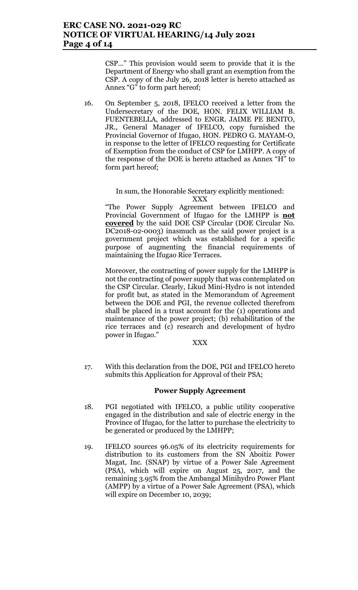## ERC CASE NO. 2021-029 RC NOTICE OF VIRTUAL HEARING/14 July 2021 Page 4 of 14

CSP…" This provision would seem to provide that it is the Department of Energy who shall grant an exemption from the CSP. A copy of the July 26, 2018 letter is hereto attached as Annex "G" to form part hereof;

16. On September 5, 2018, IFELCO received a letter from the Undersecretary of the DOE, HON. FELIX WILLIAM B. FUENTEBELLA, addressed to ENGR. JAIME PE BENITO, JR., General Manager of IFELCO, copy furnished the Provincial Governor of Ifugao, HON. PEDRO G. MAYAM-O, in response to the letter of IFELCO requesting for Certificate of Exemption from the conduct of CSP for LMHPP. A copy of the response of the DOE is hereto attached as Annex "H" to form part hereof;

#### In sum, the Honorable Secretary explicitly mentioned: XXX

"The Power Supply Agreement between IFELCO and Provincial Government of Ifugao for the LMHPP is not covered by the said DOE CSP Circular (DOE Circular No. DC2018-02-0003) inasmuch as the said power project is a government project which was established for a specific purpose of augmenting the financial requirements of maintaining the Ifugao Rice Terraces.

Moreover, the contracting of power supply for the LMHPP is not the contracting of power supply that was contemplated on the CSP Circular. Clearly, Likud Mini-Hydro is not intended for profit but, as stated in the Memorandum of Agreement between the DOE and PGI, the revenue collected therefrom shall be placed in a trust account for the (1) operations and maintenance of the power project; (b) rehabilitation of the rice terraces and (c) research and development of hydro power in Ifugao."

XXX

17. With this declaration from the DOE, PGI and IFELCO hereto submits this Application for Approval of their PSA;

### Power Supply Agreement

- 18. PGI negotiated with IFELCO, a public utility cooperative engaged in the distribution and sale of electric energy in the Province of Ifugao, for the latter to purchase the electricity to be generated or produced by the LMHPP;
- 19. IFELCO sources 96.05% of its electricity requirements for distribution to its customers from the SN Aboitiz Power Magat, Inc. (SNAP) by virtue of a Power Sale Agreement (PSA), which will expire on August 25, 2017, and the remaining 3.95% from the Ambangal Minihydro Power Plant (AMPP) by a virtue of a Power Sale Agreement (PSA), which will expire on December 10, 2039;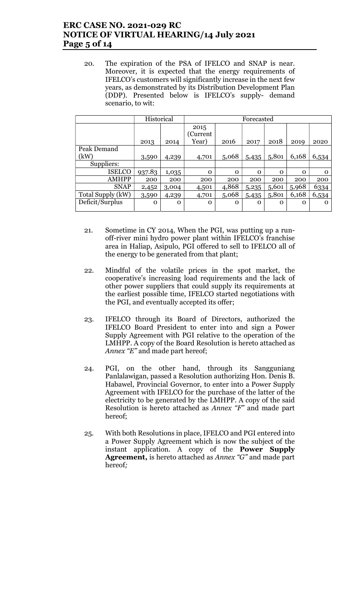## ERC CASE NO. 2021-029 RC NOTICE OF VIRTUAL HEARING/14 July 2021 Page 5 of 14

20. The expiration of the PSA of IFELCO and SNAP is near. Moreover, it is expected that the energy requirements of IFELCO's customers will significantly increase in the next few years, as demonstrated by its Distribution Development Plan (DDP). Presented below is IFELCO's supply- demand scenario, to wit:

|                   | Historical |             | Forecasted       |             |             |             |          |              |
|-------------------|------------|-------------|------------------|-------------|-------------|-------------|----------|--------------|
|                   |            |             | 2015<br>(Current |             |             |             |          |              |
|                   | 2013       | 2014        | Year)            | 2016        | 2017        | 2018        | 2019     | 2020         |
| Peak Demand       |            |             |                  |             |             |             |          |              |
| (kW)              | 3,590      | 4,239       | 4,701            | 5,068       | 5,435       | 5,801       | 6,168    | 6,534        |
| Suppliers:        |            |             |                  |             |             |             |          |              |
| <b>ISELCO</b>     | 937.83     | 1,035       | $\mathbf 0$      | $\mathbf 0$ | $\mathbf 0$ | $\mathbf 0$ | $\Omega$ | $\mathbf{0}$ |
| <b>AMHPP</b>      | 200        | 200         | 200              | 200         | 200         | 200         | 200      | 200          |
| <b>SNAP</b>       | 2,452      | 3,004       | 4,501            | 4,868       | 5,235       | 5,601       | 5,968    | 6334         |
| Total Supply (kW) | 3,590      | 4,239       | 4,701            | 5,068       | 5,435       | 5,801       | 6,168    | 6,534        |
| Deficit/Surplus   | $\Omega$   | $\mathbf 0$ | $\Omega$         | $\Omega$    | $\Omega$    | $\Omega$    | $\Omega$ | $\Omega$     |

- 21. Sometime in CY 2014, When the PGI, was putting up a runoff-river mini hydro power plant within IFELCO's franchise area in Haliap, Asipulo, PGI offered to sell to IFELCO all of the energy to be generated from that plant;
- 22. Mindful of the volatile prices in the spot market, the cooperative's increasing load requirements and the lack of other power suppliers that could supply its requirements at the earliest possible time, IFELCO started negotiations with the PGI, and eventually accepted its offer;
- 23. IFELCO through its Board of Directors, authorized the IFELCO Board President to enter into and sign a Power Supply Agreement with PGI relative to the operation of the LMHPP. A copy of the Board Resolution is hereto attached as Annex "E" and made part hereof;
- 24. PGI, on the other hand, through its Sangguniang Panlalawigan, passed a Resolution authorizing Hon. Denis B. Habawel, Provincial Governor, to enter into a Power Supply Agreement with IFELCO for the purchase of the latter of the electricity to be generated by the LMHPP. A copy of the said Resolution is hereto attached as Annex "F" and made part hereof;
- 25. With both Resolutions in place, IFELCO and PGI entered into a Power Supply Agreement which is now the subject of the instant application. A copy of the Power Supply Agreement, is hereto attached as Annex "G" and made part hereof;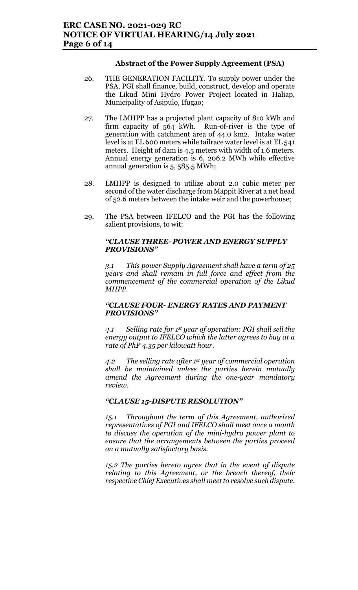### Abstract of the Power Supply Agreement (PSA)

- 26. THE GENERATION FACILITY. To supply power under the PSA, PGI shall finance, build, construct, develop and operate the Likud Mini Hydro Power Project located in Haliap, Municipality of Asipulo, Ifugao;
- 27. The LMHPP has a projected plant capacity of 810 kWh and firm capacity of 564 kWh. Run-of-river is the type of generation with catchment area of 44.0 km2. Intake water level is at EL 600 meters while tailrace water level is at EL 541 meters. Height of dam is 4.5 meters with width of 1.6 meters. Annual energy generation is 6, 206.2 MWh while effective annual generation is 5, 585.5 MWh;
- 28. LMHPP is designed to utilize about 2.0 cubic meter per second of the water discharge from Mappit River at a net head of 52.6 meters between the intake weir and the powerhouse;
- 29. The PSA between IFELCO and the PGI has the following salient provisions, to wit:

### "CLAUSE THREE- POWER AND ENERGY SUPPLY PROVISIONS"

3.1 This power Supply Agreement shall have a term of 25 years and shall remain in full force and effect from the commencement of the commercial operation of the Likud MHPP.

#### "CLAUSE FOUR- ENERGY RATES AND PAYMENT PROVISIONS"

4.1 Selling rate for 1<sup>st</sup> year of operation: PGI shall sell the energy output to IFELCO which the latter agrees to buy at a rate of PhP 4.35 per kilowatt hour.

4.2 The selling rate after  $1<sup>st</sup>$  year of commercial operation shall be maintained unless the parties herein mutually amend the Agreement during the one-year mandatory review.

#### "CLAUSE 15-DISPUTE RESOLUTION"

15.1 Throughout the term of this Agreement, authorized representatives of PGI and IFELCO shall meet once a month to discuss the operation of the mini-hydro power plant to ensure that the arrangements between the parties proceed on a mutually satisfactory basis.

15.2 The parties hereto agree that in the event of dispute relating to this Agreement, or the breach thereof, their respective Chief Executives shall meet to resolve such dispute.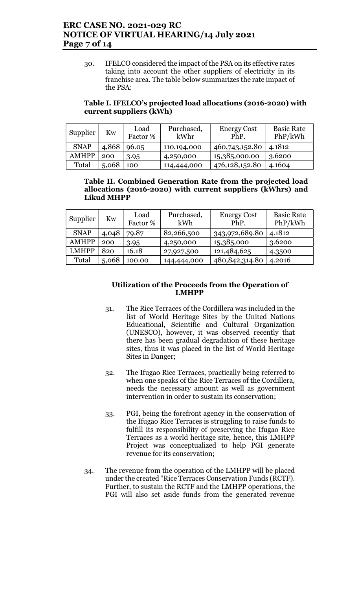## ERC CASE NO. 2021-029 RC NOTICE OF VIRTUAL HEARING/14 July 2021 Page 7 of 14

30. IFELCO considered the impact of the PSA on its effective rates taking into account the other suppliers of electricity in its franchise area. The table below summarizes the rate impact of the PSA:

### Table I. IFELCO's projected load allocations (2016-2020) with current suppliers (kWh)

| Supplier     | Kw    | Load<br>Factor % | Purchased,<br>kWhr | <b>Energy Cost</b><br>PhP. | <b>Basic Rate</b><br>PhP/kWh |
|--------------|-------|------------------|--------------------|----------------------------|------------------------------|
| <b>SNAP</b>  | 4,868 | 96.05            | 110,194,000        | 460,743,152.80             | 4.1812                       |
| <b>AMHPP</b> | 200   | 3.95             | 4,250,000          | 15,385,000.00              | 3.6200                       |
| Total        | 5,068 | 100              | 114,444,000        | 476,128,152.80             | 4.1604                       |

#### Table II. Combined Generation Rate from the projected load allocations (2016-2020) with current suppliers (kWhrs) and Likud MHPP

| Supplier     | Kw    | Load<br>Factor % | Purchased,<br>kWh | <b>Energy Cost</b><br>PhP. | <b>Basic Rate</b><br>PhP/kWh |
|--------------|-------|------------------|-------------------|----------------------------|------------------------------|
| <b>SNAP</b>  | 4,048 | 79.87            | 82,266,500        | 343,972,689.80             | 4.1812                       |
| <b>AMHPP</b> | 200   | 3.95             | 4,250,000         | 15,385,000                 | 3.6200                       |
| <b>LMHPP</b> | 820   | 16.18            | 27,927,500        | 121,484,625                | 4.3500                       |
| Total        | 5,068 | 100.00           | 144,444,000       | 480, 842, 314. 80          | 4.2016                       |

### Utilization of the Proceeds from the Operation of LMHPP

- 31. The Rice Terraces of the Cordillera was included in the list of World Heritage Sites by the United Nations Educational, Scientific and Cultural Organization (UNESCO), however, it was observed recently that there has been gradual degradation of these heritage sites, thus it was placed in the list of World Heritage Sites in Danger;
- 32. The Ifugao Rice Terraces, practically being referred to when one speaks of the Rice Terraces of the Cordillera, needs the necessary amount as well as government intervention in order to sustain its conservation;
- 33. PGI, being the forefront agency in the conservation of the Ifugao Rice Terraces is struggling to raise funds to fulfill its responsibility of preserving the Ifugao Rice Terraces as a world heritage site, hence, this LMHPP Project was conceptualized to help PGI generate revenue for its conservation;
- 34. The revenue from the operation of the LMHPP will be placed under the created "Rice Terraces Conservation Funds (RCTF). Further, to sustain the RCTF and the LMHPP operations, the PGI will also set aside funds from the generated revenue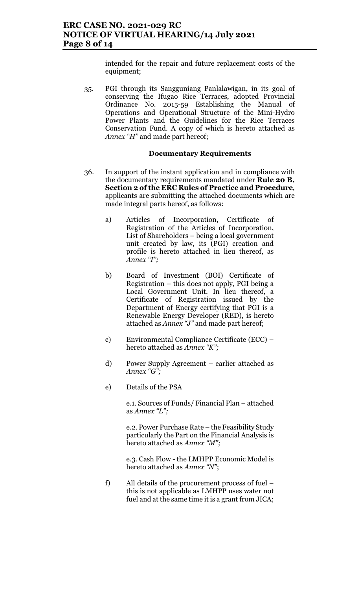intended for the repair and future replacement costs of the equipment;

35. PGI through its Sangguniang Panlalawigan, in its goal of conserving the Ifugao Rice Terraces, adopted Provincial Ordinance No. 2015-59 Establishing the Manual of Operations and Operational Structure of the Mini-Hydro Power Plants and the Guidelines for the Rice Terraces Conservation Fund. A copy of which is hereto attached as Annex "H" and made part hereof;

#### Documentary Requirements

- 36. In support of the instant application and in compliance with the documentary requirements mandated under Rule 20 B, Section 2 of the ERC Rules of Practice and Procedure, applicants are submitting the attached documents which are made integral parts hereof, as follows:
	- a) Articles of Incorporation, Certificate of Registration of the Articles of Incorporation, List of Shareholders – being a local government unit created by law, its (PGI) creation and profile is hereto attached in lieu thereof, as Annex "I";
	- b) Board of Investment (BOI) Certificate of Registration – this does not apply, PGI being a Local Government Unit. In lieu thereof, a Certificate of Registration issued by the Department of Energy certifying that PGI is a Renewable Energy Developer (RED), is hereto attached as Annex "J" and made part hereof;
	- c) Environmental Compliance Certificate (ECC) hereto attached as Annex "K";
	- d) Power Supply Agreement earlier attached as Annex "G";
	- e) Details of the PSA

e.1. Sources of Funds/ Financial Plan – attached as Annex "L";

e.2. Power Purchase Rate – the Feasibility Study particularly the Part on the Financial Analysis is hereto attached as Annex "M";

e.3. Cash Flow - the LMHPP Economic Model is hereto attached as Annex "N";

f) All details of the procurement process of fuel – this is not applicable as LMHPP uses water not fuel and at the same time it is a grant from JICA;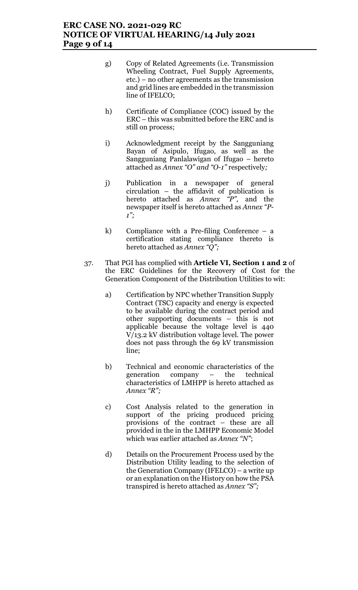## ERC CASE NO. 2021-029 RC NOTICE OF VIRTUAL HEARING/14 July 2021 Page 9 of 14

- g) Copy of Related Agreements (i.e. Transmission Wheeling Contract, Fuel Supply Agreements, etc.) – no other agreements as the transmission and grid lines are embedded in the transmission line of IFELCO;
- h) Certificate of Compliance (COC) issued by the ERC – this was submitted before the ERC and is still on process;
- i) Acknowledgment receipt by the Sangguniang Bayan of Asipulo, Ifugao, as well as the Sangguniang Panlalawigan of Ifugao – hereto attached as Annex "O" and "O-1" respectively;
- j) Publication in a newspaper of general circulation – the affidavit of publication is hereto attached as  $Annex$   $\bar{p}$ ", and the newspaper itself is hereto attached as Annex "P- $1$ ";
- k) Compliance with a Pre-filing Conference a certification stating compliance thereto is hereto attached as Annex "Q";
- 37. That PGI has complied with Article VI, Section 1 and 2 of the ERC Guidelines for the Recovery of Cost for the Generation Component of the Distribution Utilities to wit:
	- a) Certification by NPC whether Transition Supply Contract (TSC) capacity and energy is expected to be available during the contract period and other supporting documents – this is not applicable because the voltage level is 440 V/13.2 kV distribution voltage level. The power does not pass through the 69 kV transmission line;
	- b) Technical and economic characteristics of the generation company – the technical characteristics of LMHPP is hereto attached as Annex "R";
	- c) Cost Analysis related to the generation in support of the pricing produced pricing provisions of the contract – these are all provided in the in the LMHPP Economic Model which was earlier attached as Annex "N";
	- d) Details on the Procurement Process used by the Distribution Utility leading to the selection of the Generation Company (IFELCO) – a write up or an explanation on the History on how the PSA transpired is hereto attached as Annex "S";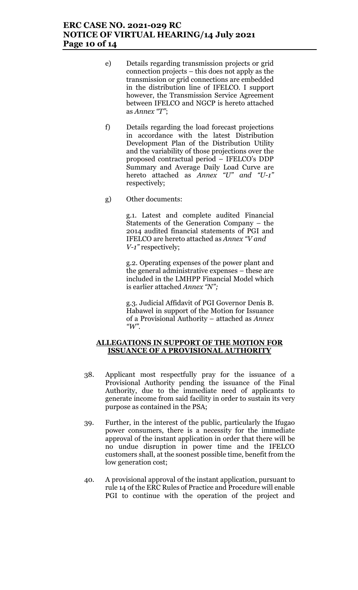## ERC CASE NO. 2021-029 RC NOTICE OF VIRTUAL HEARING/14 July 2021 Page 10 of 14

- e) Details regarding transmission projects or grid connection projects – this does not apply as the transmission or grid connections are embedded in the distribution line of IFELCO. I support however, the Transmission Service Agreement between IFELCO and NGCP is hereto attached as Annex "T";
- f) Details regarding the load forecast projections in accordance with the latest Distribution Development Plan of the Distribution Utility and the variability of those projections over the proposed contractual period – IFELCO's DDP Summary and Average Daily Load Curve are hereto attached as Annex "U" and "U-1" respectively;
- g) Other documents:

g.1. Latest and complete audited Financial Statements of the Generation Company – the 2014 audited financial statements of PGI and IFELCO are hereto attached as Annex "V and V-1" respectively;

g.2. Operating expenses of the power plant and the general administrative expenses – these are included in the LMHPP Financial Model which is earlier attached Annex "N";

g.3. Judicial Affidavit of PGI Governor Denis B. Habawel in support of the Motion for Issuance of a Provisional Authority – attached as Annex  $\mathscr{C}W$ .

#### ALLEGATIONS IN SUPPORT OF THE MOTION FOR ISSUANCE OF A PROVISIONAL AUTHORITY

- 38. Applicant most respectfully pray for the issuance of a Provisional Authority pending the issuance of the Final Authority, due to the immediate need of applicants to generate income from said facility in order to sustain its very purpose as contained in the PSA;
- 39. Further, in the interest of the public, particularly the Ifugao power consumers, there is a necessity for the immediate approval of the instant application in order that there will be no undue disruption in power time and the IFELCO customers shall, at the soonest possible time, benefit from the low generation cost;
- 40. A provisional approval of the instant application, pursuant to rule 14 of the ERC Rules of Practice and Procedure will enable PGI to continue with the operation of the project and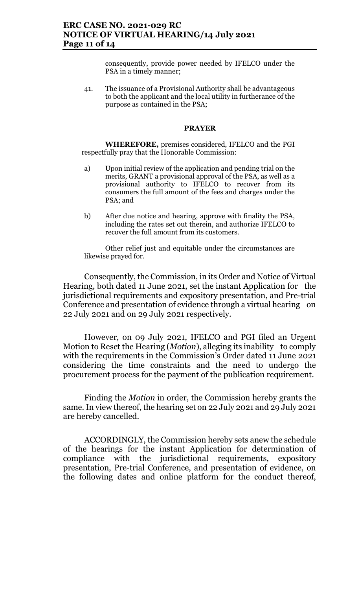consequently, provide power needed by IFELCO under the PSA in a timely manner;

41. The issuance of a Provisional Authority shall be advantageous to both the applicant and the local utility in furtherance of the purpose as contained in the PSA;

#### PRAYER

WHEREFORE, premises considered, IFELCO and the PGI respectfully pray that the Honorable Commission:

- a) Upon initial review of the application and pending trial on the merits, GRANT a provisional approval of the PSA, as well as a provisional authority to IFELCO to recover from its consumers the full amount of the fees and charges under the PSA; and
- b) After due notice and hearing, approve with finality the PSA, including the rates set out therein, and authorize IFELCO to recover the full amount from its customers.

Other relief just and equitable under the circumstances are likewise prayed for.

Consequently, the Commission, in its Order and Notice of Virtual Hearing, both dated 11 June 2021, set the instant Application for the jurisdictional requirements and expository presentation, and Pre-trial Conference and presentation of evidence through a virtual hearing on 22 July 2021 and on 29 July 2021 respectively.

However, on 09 July 2021, IFELCO and PGI filed an Urgent Motion to Reset the Hearing (*Motion*), alleging its inability to comply with the requirements in the Commission's Order dated 11 June 2021 considering the time constraints and the need to undergo the procurement process for the payment of the publication requirement.

Finding the Motion in order, the Commission hereby grants the same. In view thereof, the hearing set on 22 July 2021 and 29 July 2021 are hereby cancelled.

ACCORDINGLY, the Commission hereby sets anew the schedule of the hearings for the instant Application for determination of compliance with the jurisdictional requirements, expository presentation, Pre-trial Conference, and presentation of evidence, on the following dates and online platform for the conduct thereof,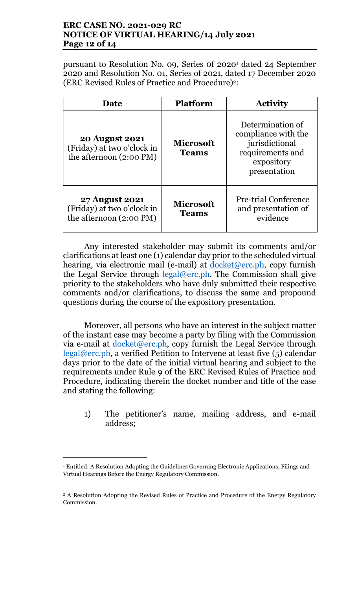## ERC CASE NO. 2021-029 RC NOTICE OF VIRTUAL HEARING/14 July 2021 Page 12 of 14

pursuant to Resolution No. 09, Series 0f 2020<sup>1</sup> dated 24 September 2020 and Resolution No. 01, Series of 2021, dated 17 December 2020 (ERC Revised Rules of Practice and Procedure)2:

| <b>Date</b>                                                                    | <b>Platform</b>                  | <b>Activity</b>                                                                                             |  |  |
|--------------------------------------------------------------------------------|----------------------------------|-------------------------------------------------------------------------------------------------------------|--|--|
| <b>20 August 2021</b><br>(Friday) at two o'clock in<br>the afternoon (2:00 PM) | <b>Microsoft</b><br><b>Teams</b> | Determination of<br>compliance with the<br>jurisdictional<br>requirements and<br>expository<br>presentation |  |  |
| <b>27 August 2021</b><br>(Friday) at two o'clock in<br>the afternoon (2:00 PM) | <b>Microsoft</b><br><b>Teams</b> | <b>Pre-trial Conference</b><br>and presentation of<br>evidence                                              |  |  |

Any interested stakeholder may submit its comments and/or clarifications at least one (1) calendar day prior to the scheduled virtual hearing, via electronic mail (e-mail) at <u>docket@erc.ph</u>, copy furnish the Legal Service through  $\text{legal@erc.ph.}$  The Commission shall give priority to the stakeholders who have duly submitted their respective comments and/or clarifications, to discuss the same and propound questions during the course of the expository presentation.

Moreover, all persons who have an interest in the subject matter of the instant case may become a party by filing with the Commission via e-mail at  $d$ ocket@erc.ph, copy furnish the Legal Service through legal@erc.ph, a verified Petition to Intervene at least five (5) calendar days prior to the date of the initial virtual hearing and subject to the requirements under Rule 9 of the ERC Revised Rules of Practice and Procedure, indicating therein the docket number and title of the case and stating the following:

1) The petitioner's name, mailing address, and e-mail address;

 $\overline{a}$ 

<sup>1</sup> Entitled: A Resolution Adopting the Guidelines Governing Electronic Applications, Filings and Virtual Hearings Before the Energy Regulatory Commission.

<sup>2</sup> A Resolution Adopting the Revised Rules of Practice and Procedure of the Energy Regulatory Commission.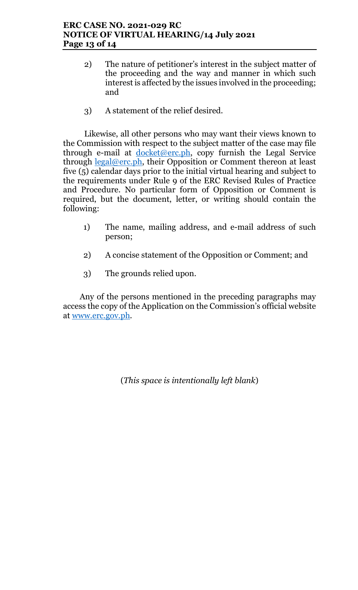## ERC CASE NO. 2021-029 RC NOTICE OF VIRTUAL HEARING/14 July 2021 Page 13 of 14

- 2) The nature of petitioner's interest in the subject matter of the proceeding and the way and manner in which such interest is affected by the issues involved in the proceeding; and
- 3) A statement of the relief desired.

Likewise, all other persons who may want their views known to the Commission with respect to the subject matter of the case may file through e-mail at  $d$ ocket@erc.ph, copy furnish the Legal Service through  $\text{legal@erc.ph},$  their Opposition or Comment thereon at least five (5) calendar days prior to the initial virtual hearing and subject to the requirements under Rule 9 of the ERC Revised Rules of Practice and Procedure. No particular form of Opposition or Comment is required, but the document, letter, or writing should contain the following:

- 1) The name, mailing address, and e-mail address of such person;
- 2) A concise statement of the Opposition or Comment; and
- 3) The grounds relied upon.

Any of the persons mentioned in the preceding paragraphs may access the copy of the Application on the Commission's official website at www.erc.gov.ph.

(This space is intentionally left blank)